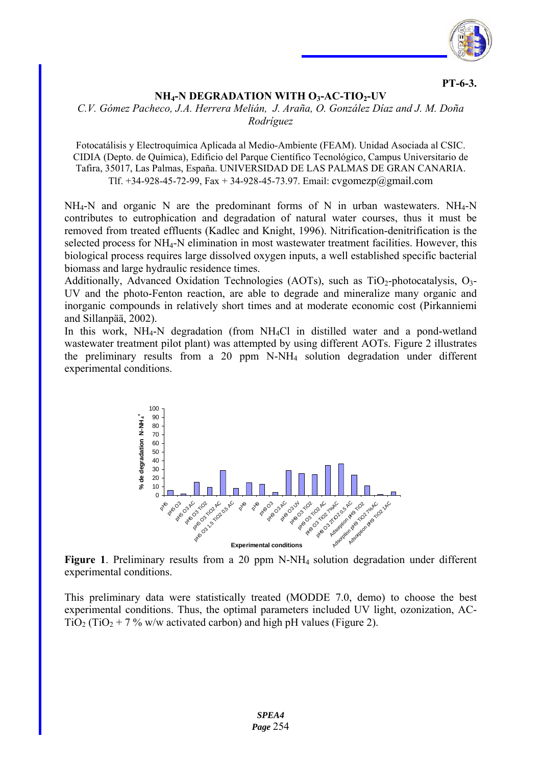

**PT-6-3.** 

## **NH<sub>4</sub>-N DEGRADATION WITH O3-AC-TIO<sub>2</sub>-UV**

## *C.V. Gómez Pacheco, J.A. Herrera Melián, J. Araña, O. González Díaz and J. M. Doña Rodríguez*

Fotocatálisis y Electroquímica Aplicada al Medio-Ambiente (FEAM). Unidad Asociada al CSIC. CIDIA (Depto. de Química), Edificio del Parque Científico Tecnológico, Campus Universitario de Tafira, 35017, Las Palmas, España. UNIVERSIDAD DE LAS PALMAS DE GRAN CANARIA. Tlf. +34-928-45-72-99, Fax + 34-928-45-73.97. Email: cvgomezp@gmail.com

 $NH_4-N$  and organic N are the predominant forms of N in urban wastewaters. NH $_4$ -N contributes to eutrophication and degradation of natural water courses, thus it must be removed from treated effluents (Kadlec and Knight, 1996). Nitrification-denitrification is the selected process for NH4-N elimination in most wastewater treatment facilities. However, this biological process requires large dissolved oxygen inputs, a well established specific bacterial biomass and large hydraulic residence times.

Additionally, Advanced Oxidation Technologies (AOTs), such as  $TiO<sub>2</sub>$ -photocatalysis,  $O<sub>3</sub>$ -UV and the photo-Fenton reaction, are able to degrade and mineralize many organic and inorganic compounds in relatively short times and at moderate economic cost (Pirkanniemi and Sillanpää, 2002).

In this work, NH<sub>4</sub>-N degradation (from NH<sub>4</sub>Cl in distilled water and a pond-wetland wastewater treatment pilot plant) was attempted by using different AOTs. Figure 2 illustrates the preliminary results from a 20 ppm N-NH4 solution degradation under different experimental conditions.



**Figure 1**. Preliminary results from a 20 ppm N-NH4 solution degradation under different experimental conditions.

This preliminary data were statistically treated (MODDE 7.0, demo) to choose the best experimental conditions. Thus, the optimal parameters included UV light, ozonization, AC- $TiO<sub>2</sub> (TiO<sub>2</sub> + 7 %$  w/w activated carbon) and high pH values (Figure 2).